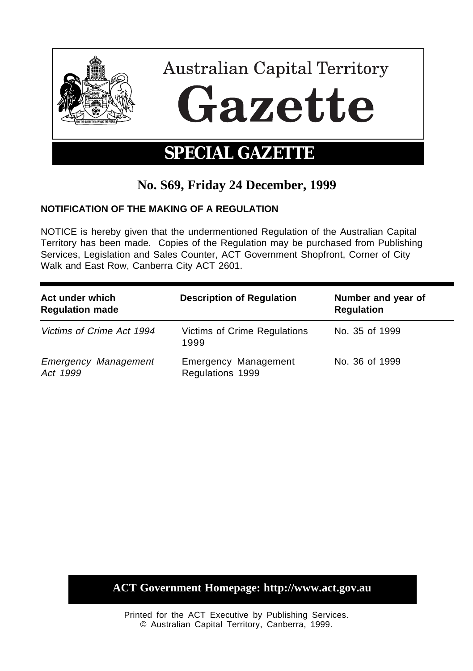

# **No. S69, Friday 24 December, 1999**

### **NOTIFICATION OF THE MAKING OF A REGULATION**

NOTICE is hereby given that the undermentioned Regulation of the Australian Capital Territory has been made. Copies of the Regulation may be purchased from Publishing Services, Legislation and Sales Counter, ACT Government Shopfront, Corner of City Walk and East Row, Canberra City ACT 2601.

| Act under which<br><b>Regulation made</b> | <b>Description of Regulation</b>         | Number and year of<br><b>Regulation</b> |
|-------------------------------------------|------------------------------------------|-----------------------------------------|
| Victims of Crime Act 1994                 | Victims of Crime Regulations<br>1999     | No. 35 of 1999                          |
| <b>Emergency Management</b><br>Act 1999   | Emergency Management<br>Regulations 1999 | No. 36 of 1999                          |

## **ACT Government Homepage: http://www.act.gov.au**

Printed for the ACT Executive by Publishing Services. © Australian Capital Territory, Canberra, 1999.